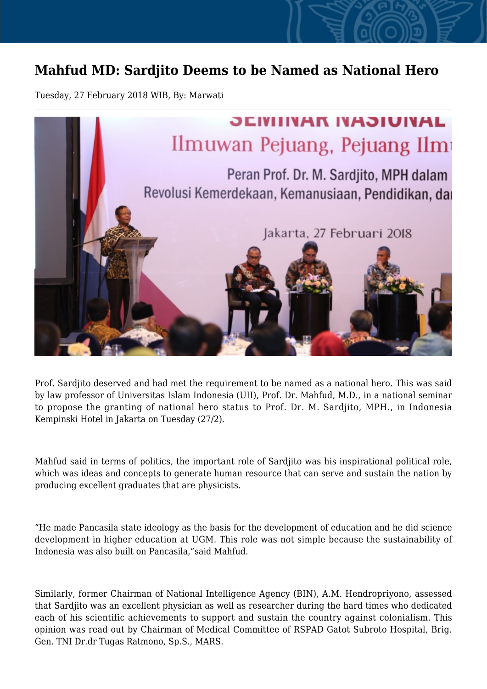## **Mahfud MD: Sardjito Deems to be Named as National Hero**

Tuesday, 27 February 2018 WIB, By: Marwati



Prof. Sardjito deserved and had met the requirement to be named as a national hero. This was said by law professor of Universitas Islam Indonesia (UII), Prof. Dr. Mahfud, M.D., in a national seminar to propose the granting of national hero status to Prof. Dr. M. Sardjito, MPH., in Indonesia Kempinski Hotel in Jakarta on Tuesday (27/2).

Mahfud said in terms of politics, the important role of Sardjito was his inspirational political role, which was ideas and concepts to generate human resource that can serve and sustain the nation by producing excellent graduates that are physicists.

"He made Pancasila state ideology as the basis for the development of education and he did science development in higher education at UGM. This role was not simple because the sustainability of Indonesia was also built on Pancasila,"said Mahfud.

Similarly, former Chairman of National Intelligence Agency (BIN), A.M. Hendropriyono, assessed that Sardjito was an excellent physician as well as researcher during the hard times who dedicated each of his scientific achievements to support and sustain the country against colonialism. This opinion was read out by Chairman of Medical Committee of RSPAD Gatot Subroto Hospital, Brig. Gen. TNI Dr.dr Tugas Ratmono, Sp.S., MARS.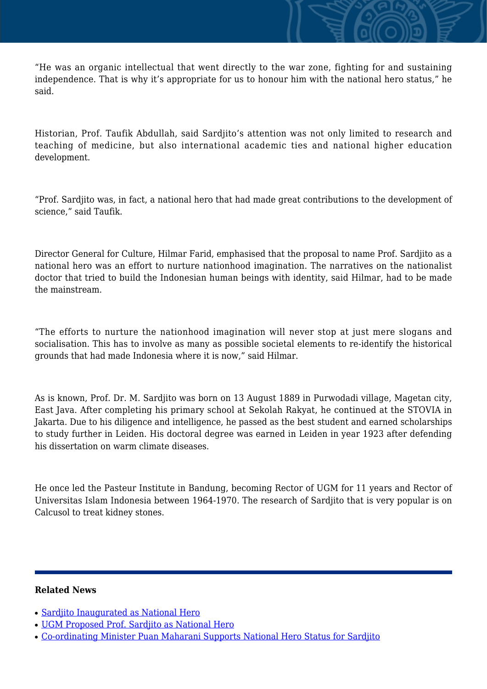"He was an organic intellectual that went directly to the war zone, fighting for and sustaining independence. That is why it's appropriate for us to honour him with the national hero status," he said.

Historian, Prof. Taufik Abdullah, said Sardjito's attention was not only limited to research and teaching of medicine, but also international academic ties and national higher education development.

"Prof. Sardjito was, in fact, a national hero that had made great contributions to the development of science," said Taufik.

Director General for Culture, Hilmar Farid, emphasised that the proposal to name Prof. Sardjito as a national hero was an effort to nurture nationhood imagination. The narratives on the nationalist doctor that tried to build the Indonesian human beings with identity, said Hilmar, had to be made the mainstream.

"The efforts to nurture the nationhood imagination will never stop at just mere slogans and socialisation. This has to involve as many as possible societal elements to re-identify the historical grounds that had made Indonesia where it is now," said Hilmar.

As is known, Prof. Dr. M. Sardjito was born on 13 August 1889 in Purwodadi village, Magetan city, East Java. After completing his primary school at Sekolah Rakyat, he continued at the STOVIA in Jakarta. Due to his diligence and intelligence, he passed as the best student and earned scholarships to study further in Leiden. His doctoral degree was earned in Leiden in year 1923 after defending his dissertation on warm climate diseases.

He once led the Pasteur Institute in Bandung, becoming Rector of UGM for 11 years and Rector of Universitas Islam Indonesia between 1964-1970. The research of Sardjito that is very popular is on Calcusol to treat kidney stones.

## **Related News**

- [Sardjito Inaugurated as National Hero](http://ugm.ac.id/www.ugm.ac.id//en/news/15785-co-ordinating-minister-puan-maharani-supports-national-hero-status-for-sardjito)
- [UGM Proposed Prof. Sardjito as National Hero](http://ugm.ac.id/www.ugm.ac.id//en/news/15520-getting-to-know-prof-sardjito-closer)
- [Co-ordinating Minister Puan Maharani Supports National Hero Status for Sardjito](http://ugm.ac.id/www.ugm.ac.id//en/news/7250-sultan-supports-the-granting-of-national-hero-title-to-prof-dr-sardjito)